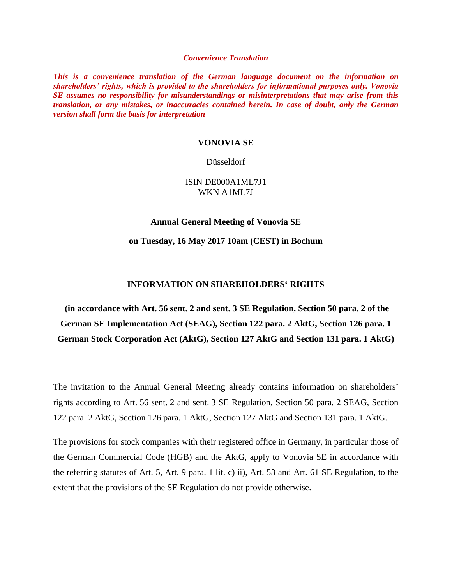#### *Convenience Translation*

*This is a convenience translation of the German language document on the information on shareholders' rights, which is provided to the shareholders for informational purposes only. Vonovia SE assumes no responsibility for misunderstandings or misinterpretations that may arise from this translation, or any mistakes, or inaccuracies contained herein. In case of doubt, only the German version shall form the basis for interpretation*

#### **VONOVIA SE**

#### Düsseldorf

## ISIN DE000A1ML7J1 WKN A1ML7J

#### **Annual General Meeting of Vonovia SE**

**on Tuesday, 16 May 2017 10am (CEST) in Bochum**

### **INFORMATION ON SHAREHOLDERS' RIGHTS**

**(in accordance with Art. 56 sent. 2 and sent. 3 SE Regulation, Section 50 para. 2 of the German SE Implementation Act (SEAG), Section 122 para. 2 AktG, Section 126 para. 1 German Stock Corporation Act (AktG), Section 127 AktG and Section 131 para. 1 AktG)**

The invitation to the Annual General Meeting already contains information on shareholders' rights according to Art. 56 sent. 2 and sent. 3 SE Regulation, Section 50 para. 2 SEAG, Section 122 para. 2 AktG, Section 126 para. 1 AktG, Section 127 AktG and Section 131 para. 1 AktG.

The provisions for stock companies with their registered office in Germany, in particular those of the German Commercial Code (HGB) and the AktG, apply to Vonovia SE in accordance with the referring statutes of Art. 5, Art. 9 para. 1 lit. c) ii), Art. 53 and Art. 61 SE Regulation, to the extent that the provisions of the SE Regulation do not provide otherwise.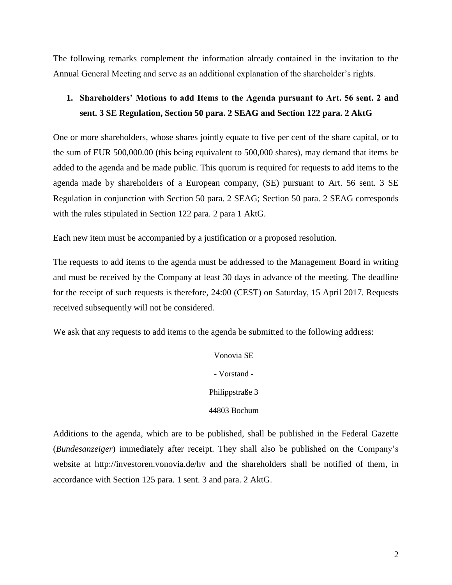The following remarks complement the information already contained in the invitation to the Annual General Meeting and serve as an additional explanation of the shareholder's rights.

# **1. Shareholders' Motions to add Items to the Agenda pursuant to Art. 56 sent. 2 and sent. 3 SE Regulation, Section 50 para. 2 SEAG and Section 122 para. 2 AktG**

One or more shareholders, whose shares jointly equate to five per cent of the share capital, or to the sum of EUR 500,000.00 (this being equivalent to 500,000 shares), may demand that items be added to the agenda and be made public. This quorum is required for requests to add items to the agenda made by shareholders of a European company, (SE) pursuant to Art. 56 sent. 3 SE Regulation in conjunction with Section 50 para. 2 SEAG; Section 50 para. 2 SEAG corresponds with the rules stipulated in Section 122 para. 2 para 1 AktG.

Each new item must be accompanied by a justification or a proposed resolution.

The requests to add items to the agenda must be addressed to the Management Board in writing and must be received by the Company at least 30 days in advance of the meeting. The deadline for the receipt of such requests is therefore, 24:00 (CEST) on Saturday, 15 April 2017. Requests received subsequently will not be considered.

We ask that any requests to add items to the agenda be submitted to the following address:

Vonovia SE - Vorstand - Philippstraße 3 44803 Bochum

Additions to the agenda, which are to be published, shall be published in the Federal Gazette (*Bundesanzeiger*) immediately after receipt. They shall also be published on the Company's website at http://investoren.vonovia.de/hv and the shareholders shall be notified of them, in accordance with Section 125 para. 1 sent. 3 and para. 2 AktG.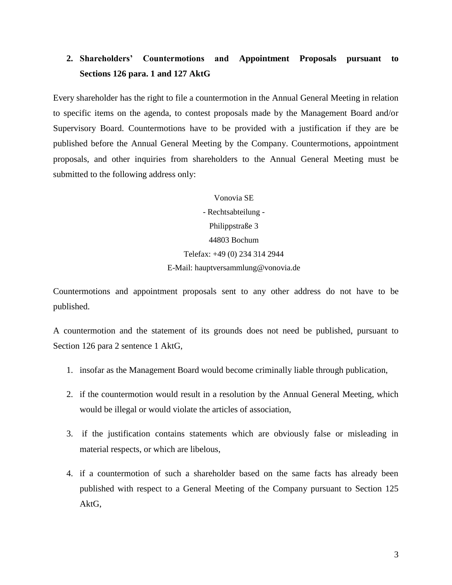# **2. Shareholders' Countermotions and Appointment Proposals pursuant to Sections 126 para. 1 and 127 AktG**

Every shareholder has the right to file a countermotion in the Annual General Meeting in relation to specific items on the agenda, to contest proposals made by the Management Board and/or Supervisory Board. Countermotions have to be provided with a justification if they are be published before the Annual General Meeting by the Company. Countermotions, appointment proposals, and other inquiries from shareholders to the Annual General Meeting must be submitted to the following address only:

> Vonovia SE - Rechtsabteilung - Philippstraße 3 44803 Bochum Telefax: +49 (0) 234 314 2944 E-Mail: hauptversammlung@vonovia.de

Countermotions and appointment proposals sent to any other address do not have to be published.

A countermotion and the statement of its grounds does not need be published, pursuant to Section 126 para 2 sentence 1 AktG,

- 1. insofar as the Management Board would become criminally liable through publication,
- 2. if the countermotion would result in a resolution by the Annual General Meeting, which would be illegal or would violate the articles of association,
- 3. if the justification contains statements which are obviously false or misleading in material respects, or which are libelous,
- 4. if a countermotion of such a shareholder based on the same facts has already been published with respect to a General Meeting of the Company pursuant to Section 125 AktG,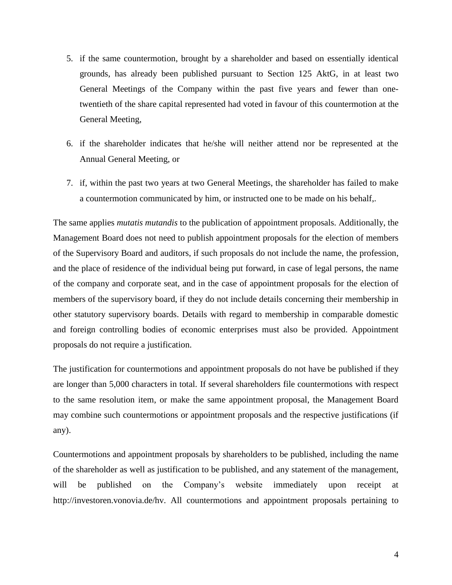- 5. if the same countermotion, brought by a shareholder and based on essentially identical grounds, has already been published pursuant to Section 125 AktG, in at least two General Meetings of the Company within the past five years and fewer than onetwentieth of the share capital represented had voted in favour of this countermotion at the General Meeting,
- 6. if the shareholder indicates that he/she will neither attend nor be represented at the Annual General Meeting, or
- 7. if, within the past two years at two General Meetings, the shareholder has failed to make a countermotion communicated by him, or instructed one to be made on his behalf,.

The same applies *mutatis mutandis* to the publication of appointment proposals. Additionally, the Management Board does not need to publish appointment proposals for the election of members of the Supervisory Board and auditors, if such proposals do not include the name, the profession, and the place of residence of the individual being put forward, in case of legal persons, the name of the company and corporate seat, and in the case of appointment proposals for the election of members of the supervisory board, if they do not include details concerning their membership in other statutory supervisory boards. Details with regard to membership in comparable domestic and foreign controlling bodies of economic enterprises must also be provided. Appointment proposals do not require a justification.

The justification for countermotions and appointment proposals do not have be published if they are longer than 5,000 characters in total. If several shareholders file countermotions with respect to the same resolution item, or make the same appointment proposal, the Management Board may combine such countermotions or appointment proposals and the respective justifications (if any).

Countermotions and appointment proposals by shareholders to be published, including the name of the shareholder as well as justification to be published, and any statement of the management, will be published on the Company's website immediately upon receipt at http://investoren.vonovia.de/hv. All countermotions and appointment proposals pertaining to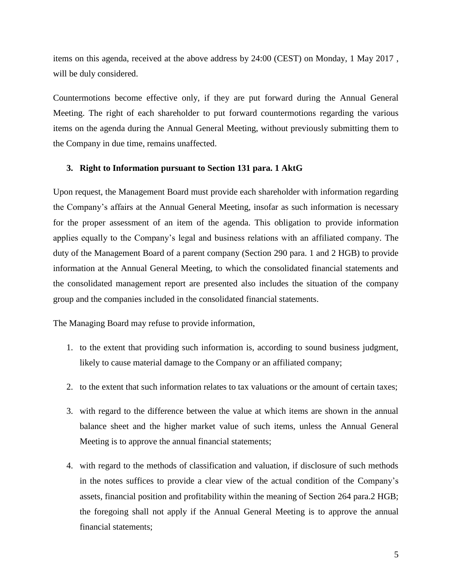items on this agenda, received at the above address by 24:00 (CEST) on Monday, 1 May 2017 , will be duly considered.

Countermotions become effective only, if they are put forward during the Annual General Meeting. The right of each shareholder to put forward countermotions regarding the various items on the agenda during the Annual General Meeting, without previously submitting them to the Company in due time, remains unaffected.

### **3. Right to Information pursuant to Section 131 para. 1 AktG**

Upon request, the Management Board must provide each shareholder with information regarding the Company's affairs at the Annual General Meeting, insofar as such information is necessary for the proper assessment of an item of the agenda. This obligation to provide information applies equally to the Company's legal and business relations with an affiliated company. The duty of the Management Board of a parent company (Section 290 para. 1 and 2 HGB) to provide information at the Annual General Meeting, to which the consolidated financial statements and the consolidated management report are presented also includes the situation of the company group and the companies included in the consolidated financial statements.

The Managing Board may refuse to provide information,

- 1. to the extent that providing such information is, according to sound business judgment, likely to cause material damage to the Company or an affiliated company;
- 2. to the extent that such information relates to tax valuations or the amount of certain taxes;
- 3. with regard to the difference between the value at which items are shown in the annual balance sheet and the higher market value of such items, unless the Annual General Meeting is to approve the annual financial statements;
- 4. with regard to the methods of classification and valuation, if disclosure of such methods in the notes suffices to provide a clear view of the actual condition of the Company's assets, financial position and profitability within the meaning of Section 264 para.2 HGB; the foregoing shall not apply if the Annual General Meeting is to approve the annual financial statements;